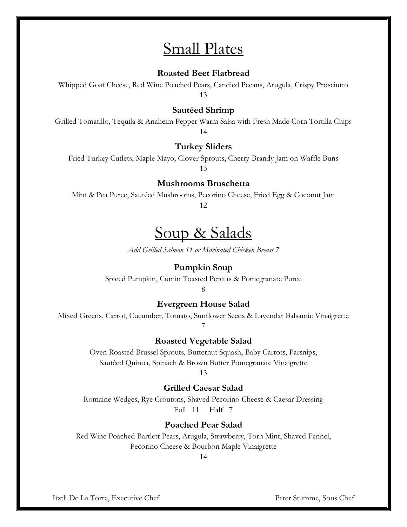# Small Plates

### **Roasted Beet Flatbread**

Whipped Goat Cheese, Red Wine Poached Pears, Candied Pecans, Arugula, Crispy Prosciutto 13

### **Sautéed Shrimp**

Grilled Tomatillo, Tequila & Anaheim Pepper Warm Salsa with Fresh Made Corn Tortilla Chips 14

#### **Turkey Sliders**

Fried Turkey Cutlets, Maple Mayo, Clover Sprouts, Cherry-Brandy Jam on Waffle Buns 13

#### **Mushrooms Bruschetta**

Mint & Pea Puree, Sautéed Mushrooms, Pecorino Cheese, Fried Egg & Coconut Jam 12

# Soup & Salads

*Add Grilled Salmon 11 or Marinated Chicken Breast 7*

#### **Pumpkin Soup**

Spiced Pumpkin, Cumin Toasted Pepitas & Pomegranate Puree

8

#### **Evergreen House Salad**

Mixed Greens, Carrot, Cucumber, Tomato, Sunflower Seeds & Lavendar Balsamic Vinaigrette 7

#### **Roasted Vegetable Salad**

Oven Roasted Brussel Sprouts, Butternut Squash, Baby Carrots, Parsnips, Sautéed Quinoa, Spinach & Brown Butter Pomegranate Vinaigrette

13

### **Grilled Caesar Salad**

Romaine Wedges, Rye Croutons, Shaved Pecorino Cheese & Caesar Dressing Full 11 Half 7

# **Poached Pear Salad**

Red Wine Poached Bartlett Pears, Arugula, Strawberry, Torn Mint, Shaved Fennel, Pecorino Cheese & Bourbon Maple Vinaigrette

14

Itztli De La Torre, Executive Chef Peter Stumme, Sous Chef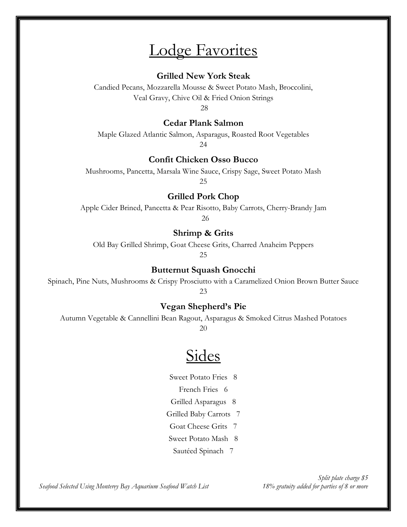# Lodge Favorites

### **Grilled New York Steak**

Candied Pecans, Mozzarella Mousse & Sweet Potato Mash, Broccolini, Veal Gravy, Chive Oil & Fried Onion Strings

28

### **Cedar Plank Salmon**

Maple Glazed Atlantic Salmon, Asparagus, Roasted Root Vegetables 24

## **Confit Chicken Osso Bucco**

Mushrooms, Pancetta, Marsala Wine Sauce, Crispy Sage, Sweet Potato Mash

25

### **Grilled Pork Chop**

Apple Cider Brined, Pancetta & Pear Risotto, Baby Carrots, Cherry-Brandy Jam 26

### **Shrimp & Grits**

Old Bay Grilled Shrimp, Goat Cheese Grits, Charred Anaheim Peppers

25

## **Butternut Squash Gnocchi**

Spinach, Pine Nuts, Mushrooms & Crispy Prosciutto with a Caramelized Onion Brown Butter Sauce 23

## **Vegan Shepherd's Pie**

Autumn Vegetable & Cannellini Bean Ragout, Asparagus & Smoked Citrus Mashed Potatoes

20

# **Sides**

Sweet Potato Fries 8

French Fries 6

Grilled Asparagus 8

Grilled Baby Carrots 7

Goat Cheese Grits 7

Sweet Potato Mash 8

Sautéed Spinach 7

*Seafood Selected Using Monterey Bay Aquarium Seafood Watch List 18% gratuity added for parties of 8 or more*

*Split plate charge \$5*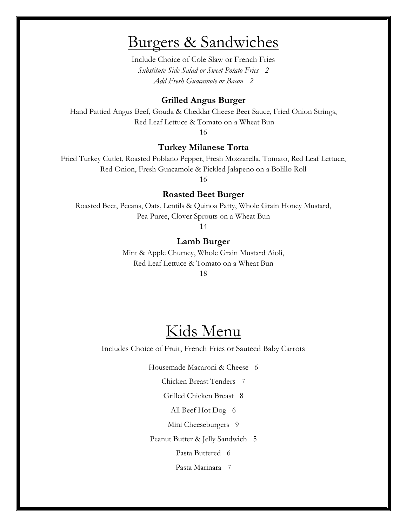# Burgers & Sandwiches

Include Choice of Cole Slaw or French Fries *Substitute Side Salad or Sweet Potato Fries 2 Add Fresh Guacamole or Bacon 2*

#### **Grilled Angus Burger**

Hand Pattied Angus Beef, Gouda & Cheddar Cheese Beer Sauce, Fried Onion Strings, Red Leaf Lettuce & Tomato on a Wheat Bun

16

### **Turkey Milanese Torta**

Fried Turkey Cutlet, Roasted Poblano Pepper, Fresh Mozzarella, Tomato, Red Leaf Lettuce, Red Onion, Fresh Guacamole & Pickled Jalapeno on a Bolillo Roll

16

#### **Roasted Beet Burger**

Roasted Beet, Pecans, Oats, Lentils & Quinoa Patty, Whole Grain Honey Mustard, Pea Puree, Clover Sprouts on a Wheat Bun

14

#### **Lamb Burger**

Mint & Apple Chutney, Whole Grain Mustard Aioli, Red Leaf Lettuce & Tomato on a Wheat Bun

18

# Kids Menu

Includes Choice of Fruit, French Fries or Sauteed Baby Carrots

Housemade Macaroni & Cheese 6

Chicken Breast Tenders7

Grilled Chicken Breast8

All Beef Hot Dog6

Mini Cheeseburgers 9

Peanut Butter & Jelly Sandwich5

Pasta Buttered 6

Pasta Marinara 7